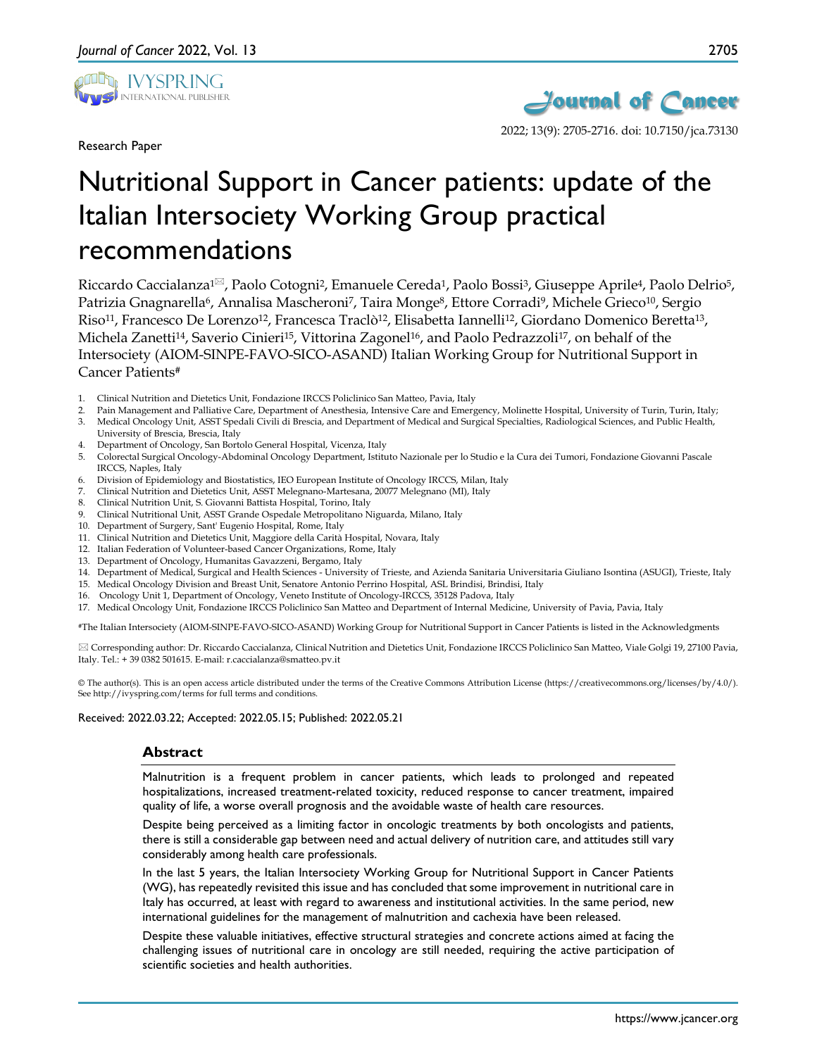

Research Paper



# Nutritional Support in Cancer patients: update of the Italian Intersociety Working Group practical recommendations

Riccardo Caccialanza<sup>1 $\boxtimes$ </sup>, Paolo Cotogni<sup>2</sup>, Emanuele Cereda<sup>1</sup>, Paolo Bossi<sup>3</sup>, Giuseppe Aprile<sup>4</sup>, Paolo Delrio<sup>5</sup>, Patrizia Gnagnarella<sup>6</sup>, Annalisa Mascheroni<sup>7</sup>, Taira Monge<sup>8</sup>, Ettore Corradi<sup>9</sup>, Michele Grieco<sup>10</sup>, Sergio Riso11, Francesco De Lorenzo12, Francesca Traclò12, Elisabetta Iannelli12, Giordano Domenico Beretta13, Michela Zanetti<sup>14</sup>, Saverio Cinieri<sup>15</sup>, Vittorina Zagonel<sup>16</sup>, and Paolo Pedrazzoli<sup>17</sup>, on behalf of the Intersociety (AIOM-SINPE-FAVO-SICO-ASAND) Italian Working Group for Nutritional Support in Cancer Patients#

- 1. Clinical Nutrition and Dietetics Unit, Fondazione IRCCS Policlinico San Matteo, Pavia, Italy
- 2. Pain Management and Palliative Care, Department of Anesthesia, Intensive Care and Emergency, Molinette Hospital, University of Turin, Turin, Italy; 3. Medical Oncology Unit, ASST Spedali Civili di Brescia, and Department of Medical and Surgical Specialties, Radiological Sciences, and Public Health, University of Brescia, Brescia, Italy
- 4. Department of Oncology, San Bortolo General Hospital, Vicenza, Italy
- 5. Colorectal Surgical Oncology-Abdominal Oncology Department, Istituto Nazionale per lo Studio e la Cura dei Tumori, Fondazione Giovanni Pascale IRCCS, Naples, Italy
- 6. Division of Epidemiology and Biostatistics, IEO European Institute of Oncology IRCCS, Milan, Italy
- 7. Clinical Nutrition and Dietetics Unit, ASST Melegnano-Martesana, 20077 Melegnano (MI), Italy
- 8. Clinical Nutrition Unit, S. Giovanni Battista Hospital, Torino, Italy
- 9. Clinical Nutritional Unit, ASST Grande Ospedale Metropolitano Niguarda, Milano, Italy
- 10. Department of Surgery, Sant' Eugenio Hospital, Rome, Italy
- 11. Clinical Nutrition and Dietetics Unit, Maggiore della Carità Hospital, Novara, Italy
- 12. Italian Federation of Volunteer-based Cancer Organizations, Rome, Italy
- 13. Department of Oncology, Humanitas Gavazzeni, Bergamo, Italy
- 14. Department of Medical, Surgical and Health Sciences University of Trieste, and Azienda Sanitaria Universitaria Giuliano Isontina (ASUGI), Trieste, Italy
- 15. Medical Oncology Division and Breast Unit, Senatore Antonio Perrino Hospital, ASL Brindisi, Brindisi, Italy
- 16. Oncology Unit 1, Department of Oncology, Veneto Institute of Oncology-IRCCS, 35128 Padova, Italy
- 17. Medical Oncology Unit, Fondazione IRCCS Policlinico San Matteo and Department of Internal Medicine, University of Pavia, Pavia, Italy

#The Italian Intersociety (AIOM-SINPE-FAVO-SICO-ASAND) Working Group for Nutritional Support in Cancer Patients is listed in the Acknowledgments

 Corresponding author: Dr. Riccardo Caccialanza, Clinical Nutrition and Dietetics Unit, Fondazione IRCCS Policlinico San Matteo, Viale Golgi 19, 27100 Pavia, Italy. Tel.: + 39 0382 501615. E-mail: r.caccialanza@smatteo.pv.it

© The author(s). This is an open access article distributed under the terms of the Creative Commons Attribution License (https://creativecommons.org/licenses/by/4.0/). See http://ivyspring.com/terms for full terms and conditions.

Received: 2022.03.22; Accepted: 2022.05.15; Published: 2022.05.21

#### **Abstract**

Malnutrition is a frequent problem in cancer patients, which leads to prolonged and repeated hospitalizations, increased treatment-related toxicity, reduced response to cancer treatment, impaired quality of life, a worse overall prognosis and the avoidable waste of health care resources.

Despite being perceived as a limiting factor in oncologic treatments by both oncologists and patients, there is still a considerable gap between need and actual delivery of nutrition care, and attitudes still vary considerably among health care professionals.

In the last 5 years, the Italian Intersociety Working Group for Nutritional Support in Cancer Patients (WG), has repeatedly revisited this issue and has concluded that some improvement in nutritional care in Italy has occurred, at least with regard to awareness and institutional activities. In the same period, new international guidelines for the management of malnutrition and cachexia have been released.

Despite these valuable initiatives, effective structural strategies and concrete actions aimed at facing the challenging issues of nutritional care in oncology are still needed, requiring the active participation of scientific societies and health authorities.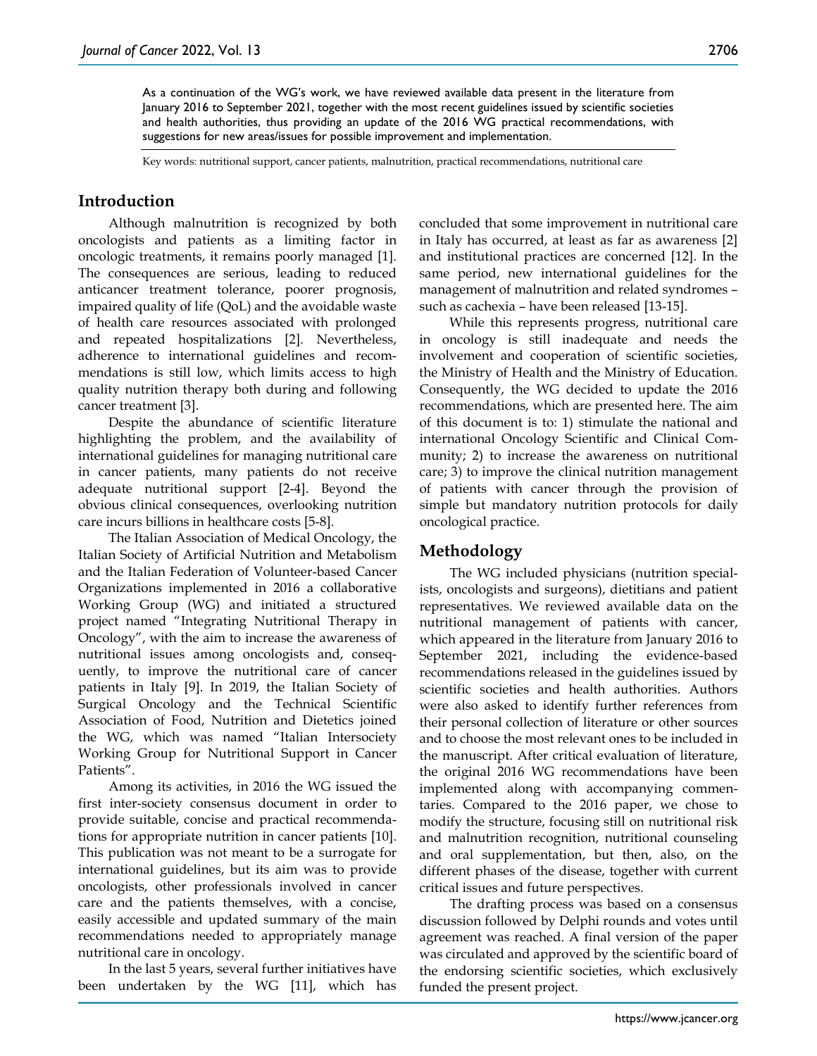Key words: nutritional support, cancer patients, malnutrition, practical recommendations, nutritional care

suggestions for new areas/issues for possible improvement and implementation.

## **Introduction**

Although malnutrition is recognized by both oncologists and patients as a limiting factor in oncologic treatments, it remains poorly managed [1]. The consequences are serious, leading to reduced anticancer treatment tolerance, poorer prognosis, impaired quality of life (QoL) and the avoidable waste of health care resources associated with prolonged and repeated hospitalizations [2]. Nevertheless, adherence to international guidelines and recommendations is still low, which limits access to high quality nutrition therapy both during and following cancer treatment [3].

Despite the abundance of scientific literature highlighting the problem, and the availability of international guidelines for managing nutritional care in cancer patients, many patients do not receive adequate nutritional support [2-4]. Beyond the obvious clinical consequences, overlooking nutrition care incurs billions in healthcare costs [5-8].

The Italian Association of Medical Oncology, the Italian Society of Artificial Nutrition and Metabolism and the Italian Federation of Volunteer-based Cancer Organizations implemented in 2016 a collaborative Working Group (WG) and initiated a structured project named "Integrating Nutritional Therapy in Oncology", with the aim to increase the awareness of nutritional issues among oncologists and, consequently, to improve the nutritional care of cancer patients in Italy [9]. In 2019, the Italian Society of Surgical Oncology and the Technical Scientific Association of Food, Nutrition and Dietetics joined the WG, which was named "Italian Intersociety Working Group for Nutritional Support in Cancer Patients".

Among its activities, in 2016 the WG issued the first inter-society consensus document in order to provide suitable, concise and practical recommendations for appropriate nutrition in cancer patients [10]. This publication was not meant to be a surrogate for international guidelines, but its aim was to provide oncologists, other professionals involved in cancer care and the patients themselves, with a concise, easily accessible and updated summary of the main recommendations needed to appropriately manage nutritional care in oncology.

In the last 5 years, several further initiatives have been undertaken by the WG [11], which has concluded that some improvement in nutritional care in Italy has occurred, at least as far as awareness [2] and institutional practices are concerned [12]. In the same period, new international guidelines for the management of malnutrition and related syndromes – such as cachexia – have been released [13-15].

While this represents progress, nutritional care in oncology is still inadequate and needs the involvement and cooperation of scientific societies, the Ministry of Health and the Ministry of Education. Consequently, the WG decided to update the 2016 recommendations, which are presented here. The aim of this document is to: 1) stimulate the national and international Oncology Scientific and Clinical Community; 2) to increase the awareness on nutritional care; 3) to improve the clinical nutrition management of patients with cancer through the provision of simple but mandatory nutrition protocols for daily oncological practice.

#### **Methodology**

The WG included physicians (nutrition specialists, oncologists and surgeons), dietitians and patient representatives. We reviewed available data on the nutritional management of patients with cancer, which appeared in the literature from January 2016 to September 2021, including the evidence-based recommendations released in the guidelines issued by scientific societies and health authorities. Authors were also asked to identify further references from their personal collection of literature or other sources and to choose the most relevant ones to be included in the manuscript. After critical evaluation of literature, the original 2016 WG recommendations have been implemented along with accompanying commentaries. Compared to the 2016 paper, we chose to modify the structure, focusing still on nutritional risk and malnutrition recognition, nutritional counseling and oral supplementation, but then, also, on the different phases of the disease, together with current critical issues and future perspectives.

The drafting process was based on a consensus discussion followed by Delphi rounds and votes until agreement was reached. A final version of the paper was circulated and approved by the scientific board of the endorsing scientific societies, which exclusively funded the present project.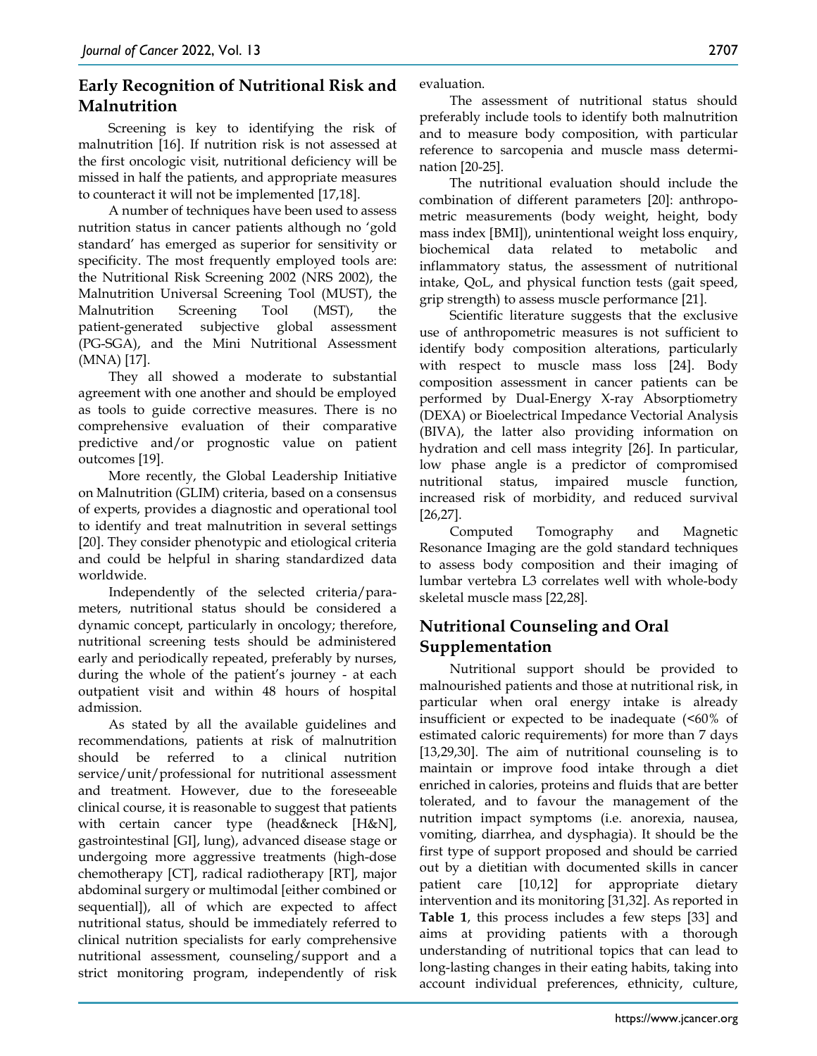# **Early Recognition of Nutritional Risk and Malnutrition**

Screening is key to identifying the risk of malnutrition [16]. If nutrition risk is not assessed at the first oncologic visit, nutritional deficiency will be missed in half the patients, and appropriate measures to counteract it will not be implemented [17,18].

A number of techniques have been used to assess nutrition status in cancer patients although no 'gold standard' has emerged as superior for sensitivity or specificity. The most frequently employed tools are: the Nutritional Risk Screening 2002 (NRS 2002), the Malnutrition Universal Screening Tool (MUST), the Malnutrition Screening Tool (MST), the patient-generated subjective global assessment (PG-SGA), and the Mini Nutritional Assessment (MNA) [17].

They all showed a moderate to substantial agreement with one another and should be employed as tools to guide corrective measures. There is no comprehensive evaluation of their comparative predictive and/or prognostic value on patient outcomes [19].

More recently, the Global Leadership Initiative on Malnutrition (GLIM) criteria, based on a consensus of experts, provides a diagnostic and operational tool to identify and treat malnutrition in several settings [20]. They consider phenotypic and etiological criteria and could be helpful in sharing standardized data worldwide.

Independently of the selected criteria/parameters, nutritional status should be considered a dynamic concept, particularly in oncology; therefore, nutritional screening tests should be administered early and periodically repeated, preferably by nurses, during the whole of the patient's journey - at each outpatient visit and within 48 hours of hospital admission.

As stated by all the available guidelines and recommendations, patients at risk of malnutrition should be referred to a clinical nutrition service/unit/professional for nutritional assessment and treatment. However, due to the foreseeable clinical course, it is reasonable to suggest that patients with certain cancer type (head&neck [H&N], gastrointestinal [GI], lung), advanced disease stage or undergoing more aggressive treatments (high-dose chemotherapy [CT], radical radiotherapy [RT], major abdominal surgery or multimodal [either combined or sequential]), all of which are expected to affect nutritional status, should be immediately referred to clinical nutrition specialists for early comprehensive nutritional assessment, counseling/support and a strict monitoring program, independently of risk

evaluation.

The assessment of nutritional status should preferably include tools to identify both malnutrition and to measure body composition, with particular reference to sarcopenia and muscle mass determination [20-25].

The nutritional evaluation should include the combination of different parameters [20]: anthropometric measurements (body weight, height, body mass index [BMI]), unintentional weight loss enquiry, biochemical data related to metabolic and inflammatory status, the assessment of nutritional intake, QoL, and physical function tests (gait speed, grip strength) to assess muscle performance [21].

Scientific literature suggests that the exclusive use of anthropometric measures is not sufficient to identify body composition alterations, particularly with respect to muscle mass loss [24]. Body composition assessment in cancer patients can be performed by Dual-Energy X-ray Absorptiometry (DEXA) or Bioelectrical Impedance Vectorial Analysis (BIVA), the latter also providing information on hydration and cell mass integrity [26]. In particular, low phase angle is a predictor of compromised nutritional status, impaired muscle function, increased risk of morbidity, and reduced survival [26,27].

Computed Tomography and Magnetic Resonance Imaging are the gold standard techniques to assess body composition and their imaging of lumbar vertebra L3 correlates well with whole-body skeletal muscle mass [22,28].

# **Nutritional Counseling and Oral Supplementation**

Nutritional support should be provided to malnourished patients and those at nutritional risk, in particular when oral energy intake is already insufficient or expected to be inadequate  $(50\% \text{ of }$ estimated caloric requirements) for more than 7 days [13,29,30]. The aim of nutritional counseling is to maintain or improve food intake through a diet enriched in calories, proteins and fluids that are better tolerated, and to favour the management of the nutrition impact symptoms (i.e. anorexia, nausea, vomiting, diarrhea, and dysphagia). It should be the first type of support proposed and should be carried out by a dietitian with documented skills in cancer patient care [10,12] for appropriate dietary intervention and its monitoring [31,32]. As reported in **Table 1**, this process includes a few steps [33] and aims at providing patients with a thorough understanding of nutritional topics that can lead to long-lasting changes in their eating habits, taking into account individual preferences, ethnicity, culture,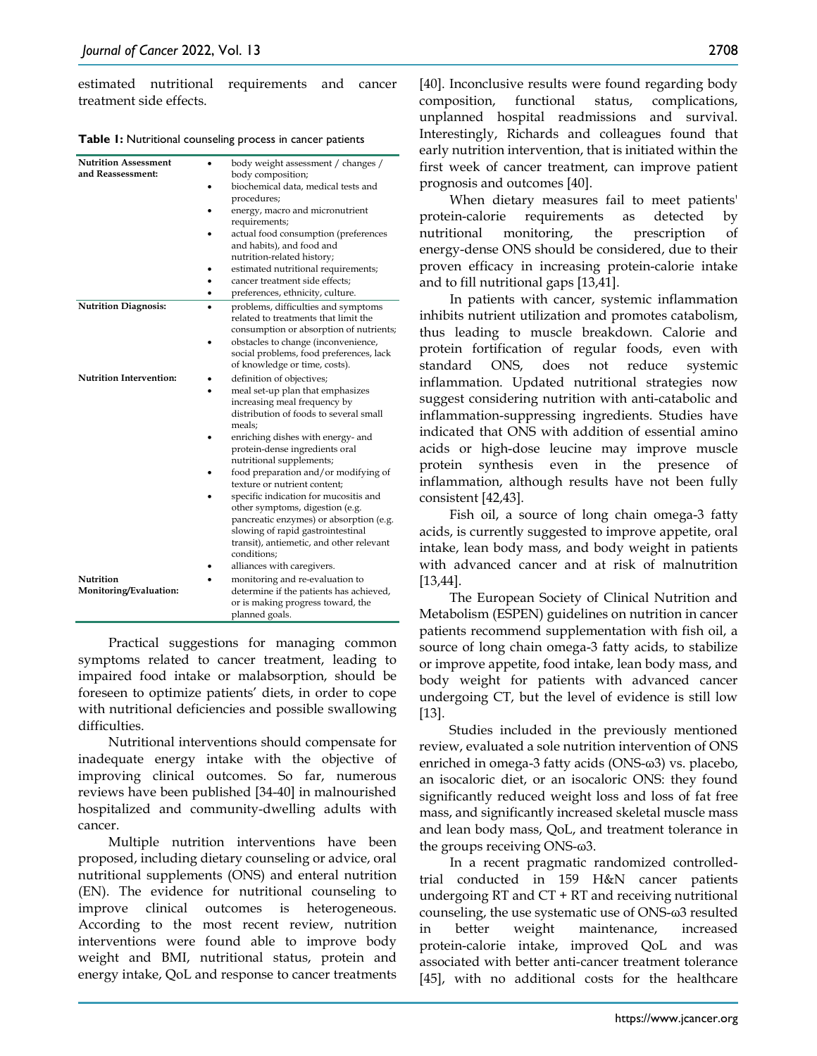estimated nutritional requirements and cancer treatment side effects.

**Table 1:** Nutritional counseling process in cancer patients

| <b>Nutrition Assessment</b><br>and Reassessment: | body weight assessment / changes /<br>body composition;<br>biochemical data, medical tests and<br>procedures;<br>energy, macro and micronutrient<br>requirements;<br>actual food consumption (preferences<br>and habits), and food and<br>nutrition-related history;<br>estimated nutritional requirements;<br>cancer treatment side effects: |
|--------------------------------------------------|-----------------------------------------------------------------------------------------------------------------------------------------------------------------------------------------------------------------------------------------------------------------------------------------------------------------------------------------------|
|                                                  | preferences, ethnicity, culture.                                                                                                                                                                                                                                                                                                              |
| <b>Nutrition Diagnosis:</b>                      | problems, difficulties and symptoms<br>related to treatments that limit the<br>consumption or absorption of nutrients;<br>obstacles to change (inconvenience,<br>social problems, food preferences, lack<br>of knowledge or time, costs).                                                                                                     |
| <b>Nutrition Intervention:</b>                   | definition of objectives;                                                                                                                                                                                                                                                                                                                     |
|                                                  | meal set-up plan that emphasizes<br>increasing meal frequency by<br>distribution of foods to several small<br>meals;                                                                                                                                                                                                                          |
|                                                  | enriching dishes with energy- and<br>protein-dense ingredients oral<br>nutritional supplements;                                                                                                                                                                                                                                               |
|                                                  | food preparation and/or modifying of<br>texture or nutrient content;                                                                                                                                                                                                                                                                          |
|                                                  | specific indication for mucositis and<br>other symptoms, digestion (e.g.<br>pancreatic enzymes) or absorption (e.g.<br>slowing of rapid gastrointestinal<br>transit), antiemetic, and other relevant<br>conditions;                                                                                                                           |
|                                                  | alliances with caregivers.                                                                                                                                                                                                                                                                                                                    |
| Nutrition<br>Monitoring/Evaluation:              | monitoring and re-evaluation to<br>determine if the patients has achieved,<br>or is making progress toward, the<br>planned goals.                                                                                                                                                                                                             |

Practical suggestions for managing common symptoms related to cancer treatment, leading to impaired food intake or malabsorption, should be foreseen to optimize patients' diets, in order to cope with nutritional deficiencies and possible swallowing difficulties.

Nutritional interventions should compensate for inadequate energy intake with the objective of improving clinical outcomes. So far, numerous reviews have been published [34-40] in malnourished hospitalized and community-dwelling adults with cancer.

Multiple nutrition interventions have been proposed, including dietary counseling or advice, oral nutritional supplements (ONS) and enteral nutrition (EN). The evidence for nutritional counseling to improve clinical outcomes is heterogeneous. According to the most recent review, nutrition interventions were found able to improve body weight and BMI, nutritional status, protein and energy intake, QoL and response to cancer treatments [40]. Inconclusive results were found regarding body composition, functional status, complications, unplanned hospital readmissions and survival. Interestingly, Richards and colleagues found that early nutrition intervention, that is initiated within the first week of cancer treatment, can improve patient prognosis and outcomes [40].

When dietary measures fail to meet patients' protein-calorie requirements as detected by nutritional monitoring, the prescription of energy-dense ONS should be considered, due to their proven efficacy in increasing protein-calorie intake and to fill nutritional gaps [13,41].

In patients with cancer, systemic inflammation inhibits nutrient utilization and promotes catabolism, thus leading to muscle breakdown. Calorie and protein fortification of regular foods, even with standard ONS, does not reduce systemic inflammation. Updated nutritional strategies now suggest considering nutrition with anti-catabolic and inflammation-suppressing ingredients. Studies have indicated that ONS with addition of essential amino acids or high-dose leucine may improve muscle protein synthesis even in the presence of inflammation, although results have not been fully consistent [42,43].

Fish oil, a source of long chain omega-3 fatty acids, is currently suggested to improve appetite, oral intake, lean body mass, and body weight in patients with advanced cancer and at risk of malnutrition [13,44].

The European Society of Clinical Nutrition and Metabolism (ESPEN) guidelines on nutrition in cancer patients recommend supplementation with fish oil, a source of long chain omega-3 fatty acids, to stabilize or improve appetite, food intake, lean body mass, and body weight for patients with advanced cancer undergoing CT, but the level of evidence is still low [13].

Studies included in the previously mentioned review, evaluated a sole nutrition intervention of ONS enriched in omega-3 fatty acids (ONS-ω3) vs. placebo, an isocaloric diet, or an isocaloric ONS: they found significantly reduced weight loss and loss of fat free mass, and significantly increased skeletal muscle mass and lean body mass, QoL, and treatment tolerance in the groups receiving ONS-ω3.

In a recent pragmatic randomized controlledtrial conducted in 159 H&N cancer patients undergoing RT and CT + RT and receiving nutritional counseling, the use systematic use of ONS-ω3 resulted in better weight maintenance, increased protein-calorie intake, improved QoL and was associated with better anti-cancer treatment tolerance [45], with no additional costs for the healthcare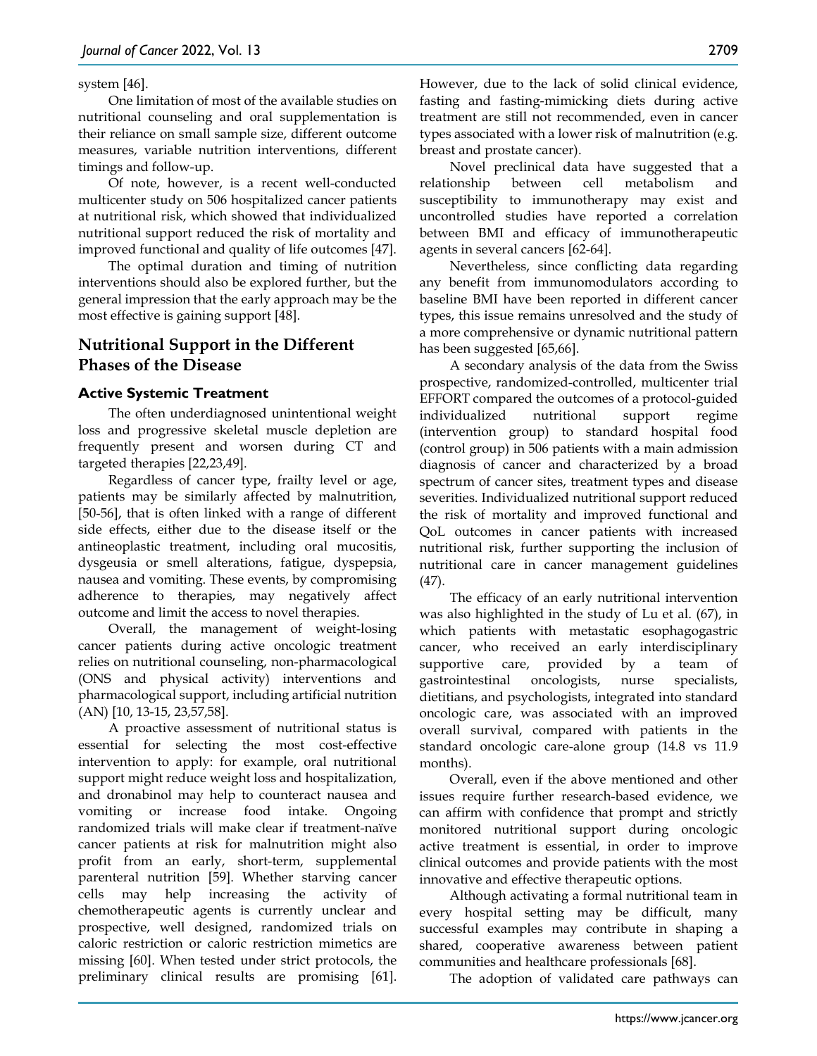#### system [46].

One limitation of most of the available studies on nutritional counseling and oral supplementation is their reliance on small sample size, different outcome measures, variable nutrition interventions, different timings and follow-up.

Of note, however, is a recent well-conducted multicenter study on 506 hospitalized cancer patients at nutritional risk, which showed that individualized nutritional support reduced the risk of mortality and improved functional and quality of life outcomes [47].

The optimal duration and timing of nutrition interventions should also be explored further, but the general impression that the early approach may be the most effective is gaining support [48].

# **Nutritional Support in the Different Phases of the Disease**

#### **Active Systemic Treatment**

The often underdiagnosed unintentional weight loss and progressive skeletal muscle depletion are frequently present and worsen during CT and targeted therapies [22,23,49].

Regardless of cancer type, frailty level or age, patients may be similarly affected by malnutrition, [50-56], that is often linked with a range of different side effects, either due to the disease itself or the antineoplastic treatment, including oral mucositis, dysgeusia or smell alterations, fatigue, dyspepsia, nausea and vomiting. These events, by compromising adherence to therapies, may negatively affect outcome and limit the access to novel therapies.

Overall, the management of weight-losing cancer patients during active oncologic treatment relies on nutritional counseling, non-pharmacological (ONS and physical activity) interventions and pharmacological support, including artificial nutrition (AN) [10, 13-15, 23,57,58].

A proactive assessment of nutritional status is essential for selecting the most cost-effective intervention to apply: for example, oral nutritional support might reduce weight loss and hospitalization, and dronabinol may help to counteract nausea and vomiting or increase food intake. Ongoing randomized trials will make clear if treatment-naïve cancer patients at risk for malnutrition might also profit from an early, short-term, supplemental parenteral nutrition [59]. Whether starving cancer cells may help increasing the activity of chemotherapeutic agents is currently unclear and prospective, well designed, randomized trials on caloric restriction or caloric restriction mimetics are missing [60]. When tested under strict protocols, the preliminary clinical results are promising [61].

However, due to the lack of solid clinical evidence, fasting and fasting-mimicking diets during active treatment are still not recommended, even in cancer types associated with a lower risk of malnutrition (e.g. breast and prostate cancer).

Novel preclinical data have suggested that a relationship between cell metabolism and susceptibility to immunotherapy may exist and uncontrolled studies have reported a correlation between BMI and efficacy of immunotherapeutic agents in several cancers [62-64].

Nevertheless, since conflicting data regarding any benefit from immunomodulators according to baseline BMI have been reported in different cancer types, this issue remains unresolved and the study of a more comprehensive or dynamic nutritional pattern has been suggested [65,66].

A secondary analysis of the data from the Swiss prospective, randomized-controlled, multicenter trial EFFORT compared the outcomes of a protocol-guided individualized nutritional support regime (intervention group) to standard hospital food (control group) in 506 patients with a main admission diagnosis of cancer and characterized by a broad spectrum of cancer sites, treatment types and disease severities. Individualized nutritional support reduced the risk of mortality and improved functional and QoL outcomes in cancer patients with increased nutritional risk, further supporting the inclusion of nutritional care in cancer management guidelines (47).

The efficacy of an early nutritional intervention was also highlighted in the study of Lu et al. (67), in which patients with metastatic esophagogastric cancer, who received an early interdisciplinary supportive care, provided by a team of gastrointestinal oncologists, nurse specialists, dietitians, and psychologists, integrated into standard oncologic care, was associated with an improved overall survival, compared with patients in the standard oncologic care-alone group (14.8 vs 11.9 months).

Overall, even if the above mentioned and other issues require further research-based evidence, we can affirm with confidence that prompt and strictly monitored nutritional support during oncologic active treatment is essential, in order to improve clinical outcomes and provide patients with the most innovative and effective therapeutic options.

Although activating a formal nutritional team in every hospital setting may be difficult, many successful examples may contribute in shaping a shared, cooperative awareness between patient communities and healthcare professionals [68].

The adoption of validated care pathways can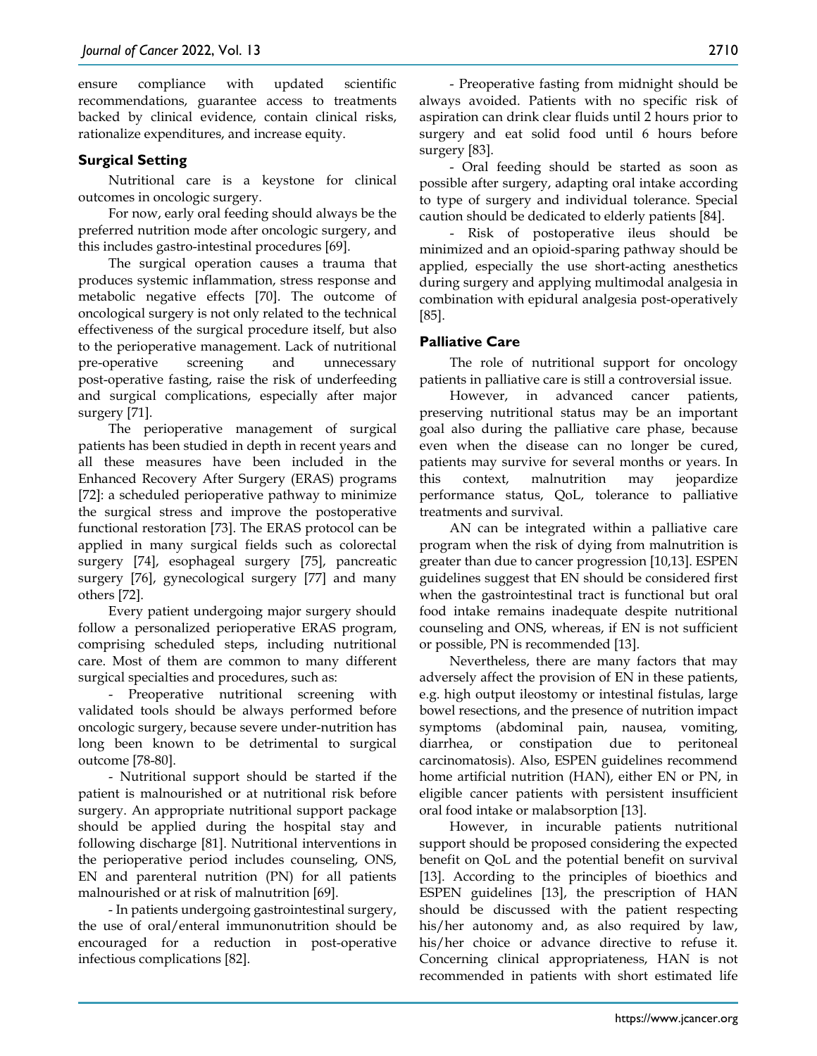ensure compliance with updated scientific recommendations, guarantee access to treatments backed by clinical evidence, contain clinical risks, rationalize expenditures, and increase equity.

## **Surgical Setting**

Nutritional care is a keystone for clinical outcomes in oncologic surgery.

For now, early oral feeding should always be the preferred nutrition mode after oncologic surgery, and this includes gastro-intestinal procedures [69].

The surgical operation causes a trauma that produces systemic inflammation, stress response and metabolic negative effects [70]. The outcome of oncological surgery is not only related to the technical effectiveness of the surgical procedure itself, but also to the perioperative management. Lack of nutritional pre-operative screening and unnecessary post-operative fasting, raise the risk of underfeeding and surgical complications, especially after major surgery [71].

The perioperative management of surgical patients has been studied in depth in recent years and all these measures have been included in the Enhanced Recovery After Surgery (ERAS) programs [72]: a scheduled perioperative pathway to minimize the surgical stress and improve the postoperative functional restoration [73]. The ERAS protocol can be applied in many surgical fields such as colorectal surgery [74], esophageal surgery [75], pancreatic surgery [76], gynecological surgery [77] and many others [72].

Every patient undergoing major surgery should follow a personalized perioperative ERAS program, comprising scheduled steps, including nutritional care. Most of them are common to many different surgical specialties and procedures, such as:

- Preoperative nutritional screening with validated tools should be always performed before oncologic surgery, because severe under-nutrition has long been known to be detrimental to surgical outcome [78-80].

- Nutritional support should be started if the patient is malnourished or at nutritional risk before surgery. An appropriate nutritional support package should be applied during the hospital stay and following discharge [81]. Nutritional interventions in the perioperative period includes counseling, ONS, EN and parenteral nutrition (PN) for all patients malnourished or at risk of malnutrition [69].

- In patients undergoing gastrointestinal surgery, the use of oral/enteral immunonutrition should be encouraged for a reduction in post-operative infectious complications [82].

- Preoperative fasting from midnight should be always avoided. Patients with no specific risk of aspiration can drink clear fluids until 2 hours prior to surgery and eat solid food until 6 hours before surgery [83].

- Oral feeding should be started as soon as possible after surgery, adapting oral intake according to type of surgery and individual tolerance. Special caution should be dedicated to elderly patients [84].

- Risk of postoperative ileus should be minimized and an opioid-sparing pathway should be applied, especially the use short-acting anesthetics during surgery and applying multimodal analgesia in combination with epidural analgesia post-operatively [85].

## **Palliative Care**

The role of nutritional support for oncology patients in palliative care is still a controversial issue.

However, in advanced cancer patients, preserving nutritional status may be an important goal also during the palliative care phase, because even when the disease can no longer be cured, patients may survive for several months or years. In this context, malnutrition may jeopardize performance status, QoL, tolerance to palliative treatments and survival.

AN can be integrated within a palliative care program when the risk of dying from malnutrition is greater than due to cancer progression [10,13]. ESPEN guidelines suggest that EN should be considered first when the gastrointestinal tract is functional but oral food intake remains inadequate despite nutritional counseling and ONS, whereas, if EN is not sufficient or possible, PN is recommended [13].

Nevertheless, there are many factors that may adversely affect the provision of EN in these patients, e.g. high output ileostomy or intestinal fistulas, large bowel resections, and the presence of nutrition impact symptoms (abdominal pain, nausea, vomiting, diarrhea, or constipation due to peritoneal carcinomatosis). Also, ESPEN guidelines recommend home artificial nutrition (HAN), either EN or PN, in eligible cancer patients with persistent insufficient oral food intake or malabsorption [13].

However, in incurable patients nutritional support should be proposed considering the expected benefit on QoL and the potential benefit on survival [13]. According to the principles of bioethics and ESPEN guidelines [13], the prescription of HAN should be discussed with the patient respecting his/her autonomy and, as also required by law, his/her choice or advance directive to refuse it. Concerning clinical appropriateness, HAN is not recommended in patients with short estimated life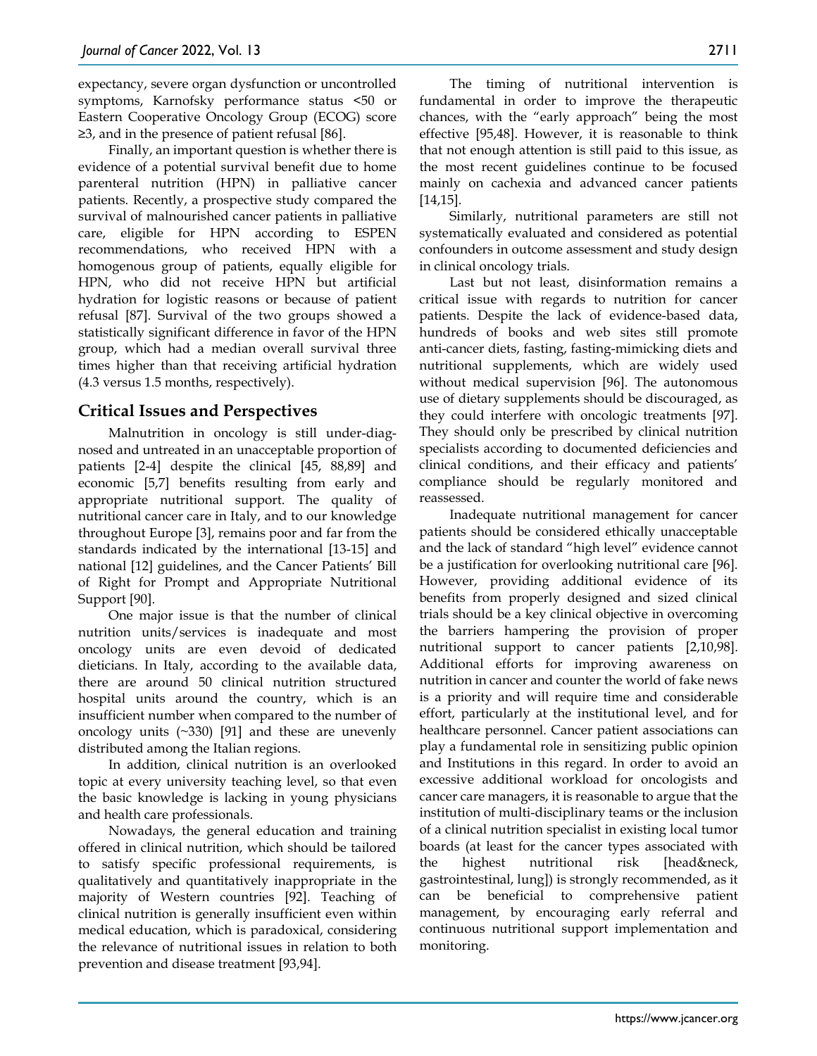expectancy, severe organ dysfunction or uncontrolled symptoms, Karnofsky performance status <50 or Eastern Cooperative Oncology Group (ECOG) score ≥3, and in the presence of patient refusal [86].

Finally, an important question is whether there is evidence of a potential survival benefit due to home parenteral nutrition (HPN) in palliative cancer patients. Recently, a prospective study compared the survival of malnourished cancer patients in palliative care, eligible for HPN according to ESPEN recommendations, who received HPN with a homogenous group of patients, equally eligible for HPN, who did not receive HPN but artificial hydration for logistic reasons or because of patient refusal [87]. Survival of the two groups showed a statistically significant difference in favor of the HPN group, which had a median overall survival three times higher than that receiving artificial hydration (4.3 versus 1.5 months, respectively).

## **Critical Issues and Perspectives**

Malnutrition in oncology is still under-diagnosed and untreated in an unacceptable proportion of patients [2-4] despite the clinical [45, 88,89] and economic [5,7] benefits resulting from early and appropriate nutritional support. The quality of nutritional cancer care in Italy, and to our knowledge throughout Europe [3], remains poor and far from the standards indicated by the international [13-15] and national [12] guidelines, and the Cancer Patients' Bill of Right for Prompt and Appropriate Nutritional Support [90].

One major issue is that the number of clinical nutrition units/services is inadequate and most oncology units are even devoid of dedicated dieticians. In Italy, according to the available data, there are around 50 clinical nutrition structured hospital units around the country, which is an insufficient number when compared to the number of oncology units (~330) [91] and these are unevenly distributed among the Italian regions.

In addition, clinical nutrition is an overlooked topic at every university teaching level, so that even the basic knowledge is lacking in young physicians and health care professionals.

Nowadays, the general education and training offered in clinical nutrition, which should be tailored to satisfy specific professional requirements, is qualitatively and quantitatively inappropriate in the majority of Western countries [92]. Teaching of clinical nutrition is generally insufficient even within medical education, which is paradoxical, considering the relevance of nutritional issues in relation to both prevention and disease treatment [93,94].

The timing of nutritional intervention is fundamental in order to improve the therapeutic chances, with the "early approach" being the most effective [95,48]. However, it is reasonable to think that not enough attention is still paid to this issue, as the most recent guidelines continue to be focused mainly on cachexia and advanced cancer patients [14,15].

Similarly, nutritional parameters are still not systematically evaluated and considered as potential confounders in outcome assessment and study design in clinical oncology trials.

Last but not least, disinformation remains a critical issue with regards to nutrition for cancer patients. Despite the lack of evidence-based data, hundreds of books and web sites still promote anti-cancer diets, fasting, fasting-mimicking diets and nutritional supplements, which are widely used without medical supervision [96]. The autonomous use of dietary supplements should be discouraged, as they could interfere with oncologic treatments [97]. They should only be prescribed by clinical nutrition specialists according to documented deficiencies and clinical conditions, and their efficacy and patients' compliance should be regularly monitored and reassessed.

Inadequate nutritional management for cancer patients should be considered ethically unacceptable and the lack of standard "high level" evidence cannot be a justification for overlooking nutritional care [96]. However, providing additional evidence of its benefits from properly designed and sized clinical trials should be a key clinical objective in overcoming the barriers hampering the provision of proper nutritional support to cancer patients [2,10,98]. Additional efforts for improving awareness on nutrition in cancer and counter the world of fake news is a priority and will require time and considerable effort, particularly at the institutional level, and for healthcare personnel. Cancer patient associations can play a fundamental role in sensitizing public opinion and Institutions in this regard. In order to avoid an excessive additional workload for oncologists and cancer care managers, it is reasonable to argue that the institution of multi-disciplinary teams or the inclusion of a clinical nutrition specialist in existing local tumor boards (at least for the cancer types associated with the highest nutritional risk [head&neck, gastrointestinal, lung]) is strongly recommended, as it can be beneficial to comprehensive patient management, by encouraging early referral and continuous nutritional support implementation and monitoring.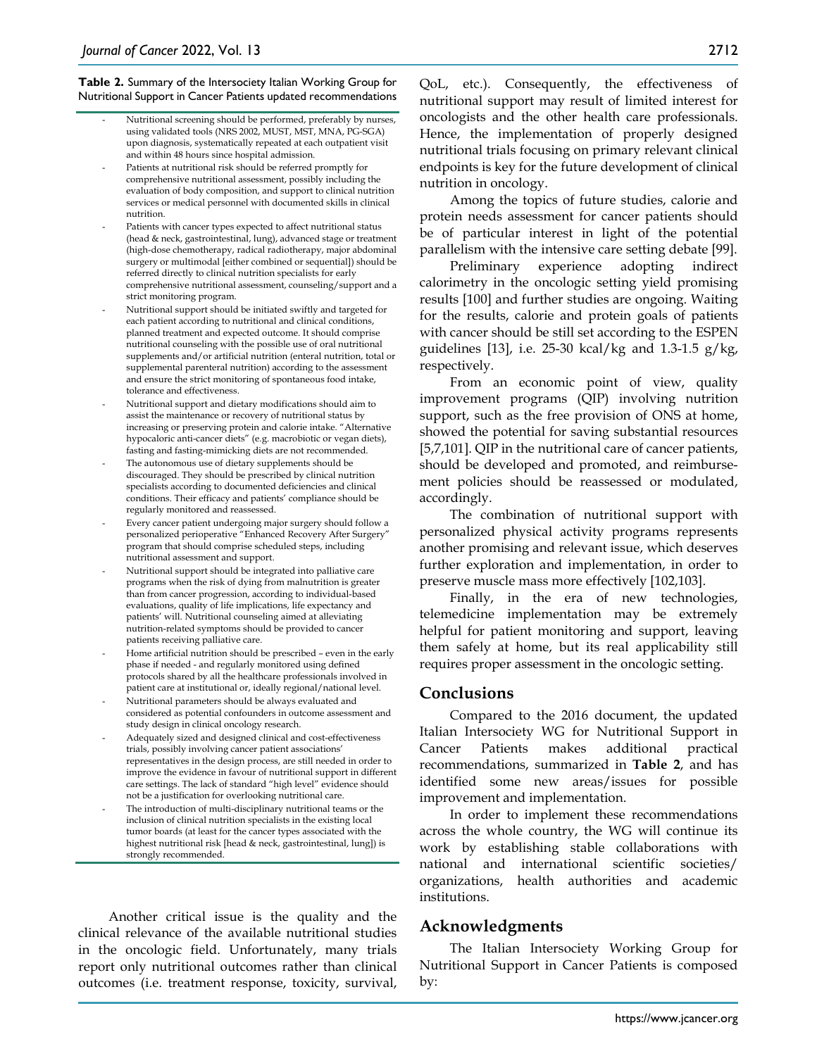**Table 2.** Summary of the Intersociety Italian Working Group for Nutritional Support in Cancer Patients updated recommendations

- Nutritional screening should be performed, preferably by nurses, using validated tools (NRS 2002, MUST, MST, MNA, PG-SGA) upon diagnosis, systematically repeated at each outpatient visit and within 48 hours since hospital admission.
- Patients at nutritional risk should be referred promptly for comprehensive nutritional assessment, possibly including the evaluation of body composition, and support to clinical nutrition services or medical personnel with documented skills in clinical nutrition.
- Patients with cancer types expected to affect nutritional status (head & neck, gastrointestinal, lung), advanced stage or treatment (high-dose chemotherapy, radical radiotherapy, major abdominal surgery or multimodal [either combined or sequential]) should be referred directly to clinical nutrition specialists for early comprehensive nutritional assessment, counseling/support and a strict monitoring program.
- Nutritional support should be initiated swiftly and targeted for each patient according to nutritional and clinical conditions, planned treatment and expected outcome. It should comprise nutritional counseling with the possible use of oral nutritional supplements and/or artificial nutrition (enteral nutrition, total or supplemental parenteral nutrition) according to the assessment and ensure the strict monitoring of spontaneous food intake, tolerance and effectiveness.
- Nutritional support and dietary modifications should aim to assist the maintenance or recovery of nutritional status by increasing or preserving protein and calorie intake. "Alternative hypocaloric anti-cancer diets" (e.g. macrobiotic or vegan diets), fasting and fasting-mimicking diets are not recommended.
- The autonomous use of dietary supplements should be discouraged. They should be prescribed by clinical nutrition specialists according to documented deficiencies and clinical conditions. Their efficacy and patients' compliance should be regularly monitored and reassessed.
- Every cancer patient undergoing major surgery should follow a personalized perioperative "Enhanced Recovery After Surgery" program that should comprise scheduled steps, including nutritional assessment and support.
- Nutritional support should be integrated into palliative care programs when the risk of dying from malnutrition is greater than from cancer progression, according to individual-based evaluations, quality of life implications, life expectancy and patients' will. Nutritional counseling aimed at alleviating nutrition-related symptoms should be provided to cancer patients receiving palliative care.
- Home artificial nutrition should be prescribed even in the early phase if needed - and regularly monitored using defined protocols shared by all the healthcare professionals involved in patient care at institutional or, ideally regional/national level.
- Nutritional parameters should be always evaluated and considered as potential confounders in outcome assessment and study design in clinical oncology research.
- Adequately sized and designed clinical and cost-effectiveness trials, possibly involving cancer patient associations' representatives in the design process, are still needed in order to improve the evidence in favour of nutritional support in different care settings. The lack of standard "high level" evidence should not be a justification for overlooking nutritional care.
- The introduction of multi-disciplinary nutritional teams or the inclusion of clinical nutrition specialists in the existing local tumor boards (at least for the cancer types associated with the highest nutritional risk [head & neck, gastrointestinal, lung]) is strongly recommended.

Another critical issue is the quality and the clinical relevance of the available nutritional studies in the oncologic field. Unfortunately, many trials report only nutritional outcomes rather than clinical outcomes (i.e. treatment response, toxicity, survival, QoL, etc.). Consequently, the effectiveness of nutritional support may result of limited interest for oncologists and the other health care professionals. Hence, the implementation of properly designed nutritional trials focusing on primary relevant clinical endpoints is key for the future development of clinical nutrition in oncology.

Among the topics of future studies, calorie and protein needs assessment for cancer patients should be of particular interest in light of the potential parallelism with the intensive care setting debate [99].

Preliminary experience adopting indirect calorimetry in the oncologic setting yield promising results [100] and further studies are ongoing. Waiting for the results, calorie and protein goals of patients with cancer should be still set according to the ESPEN guidelines [13], i.e. 25-30 kcal/kg and 1.3-1.5 g/kg, respectively.

From an economic point of view, quality improvement programs (QIP) involving nutrition support, such as the free provision of ONS at home, showed the potential for saving substantial resources [5,7,101]. QIP in the nutritional care of cancer patients, should be developed and promoted, and reimbursement policies should be reassessed or modulated, accordingly.

The combination of nutritional support with personalized physical activity programs represents another promising and relevant issue, which deserves further exploration and implementation, in order to preserve muscle mass more effectively [102,103].

Finally, in the era of new technologies, telemedicine implementation may be extremely helpful for patient monitoring and support, leaving them safely at home, but its real applicability still requires proper assessment in the oncologic setting.

## **Conclusions**

Compared to the 2016 document, the updated Italian Intersociety WG for Nutritional Support in Cancer Patients makes additional practical recommendations, summarized in **Table 2**, and has identified some new areas/issues for possible improvement and implementation.

In order to implement these recommendations across the whole country, the WG will continue its work by establishing stable collaborations with national and international scientific societies/ organizations, health authorities and academic institutions.

#### **Acknowledgments**

The Italian Intersociety Working Group for Nutritional Support in Cancer Patients is composed by: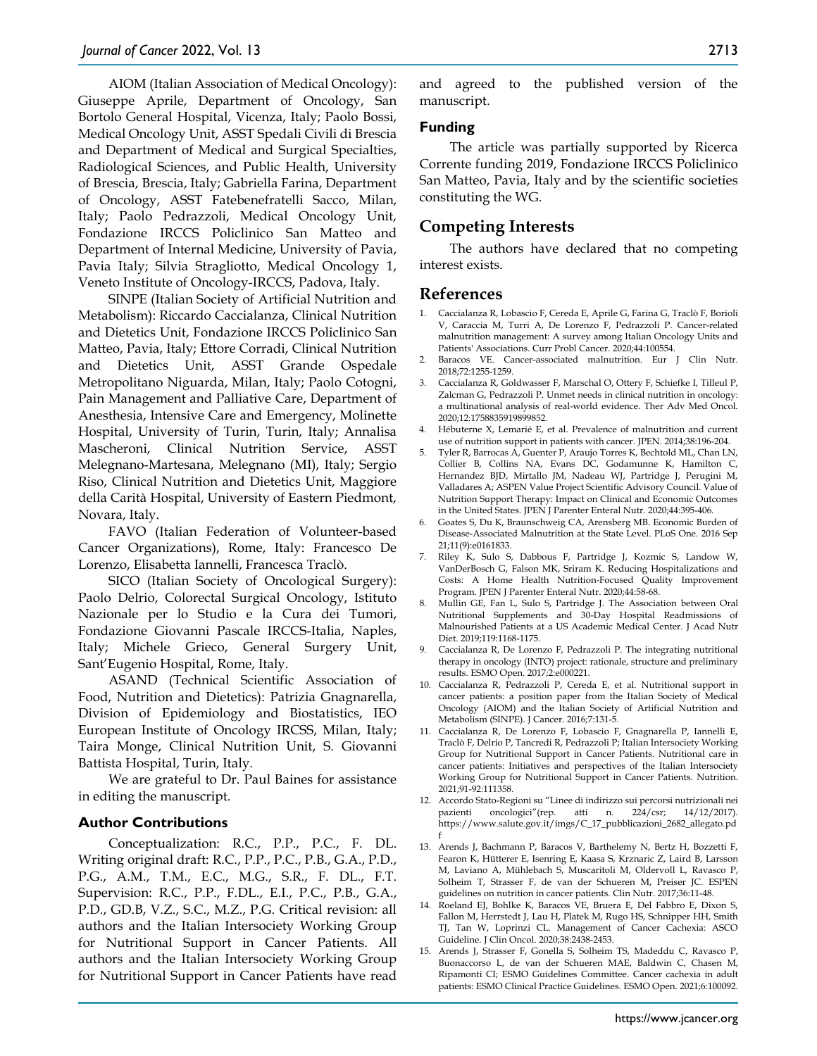AIOM (Italian Association of Medical Oncology): Giuseppe Aprile, Department of Oncology, San Bortolo General Hospital, Vicenza, Italy; Paolo Bossi, Medical Oncology Unit, ASST Spedali Civili di Brescia and Department of Medical and Surgical Specialties, Radiological Sciences, and Public Health, University of Brescia, Brescia, Italy; Gabriella Farina, Department of Oncology, ASST Fatebenefratelli Sacco, Milan, Italy; Paolo Pedrazzoli, Medical Oncology Unit, Fondazione IRCCS Policlinico San Matteo and Department of Internal Medicine, University of Pavia, Pavia Italy; Silvia Stragliotto, Medical Oncology 1, Veneto Institute of Oncology-IRCCS, Padova, Italy.

SINPE (Italian Society of Artificial Nutrition and Metabolism): Riccardo Caccialanza, Clinical Nutrition and Dietetics Unit, Fondazione IRCCS Policlinico San Matteo, Pavia, Italy; Ettore Corradi, Clinical Nutrition and Dietetics Unit, ASST Grande Ospedale Metropolitano Niguarda, Milan, Italy; Paolo Cotogni, Pain Management and Palliative Care, Department of Anesthesia, Intensive Care and Emergency, Molinette Hospital, University of Turin, Turin, Italy; Annalisa Mascheroni, Clinical Nutrition Service, ASST Melegnano-Martesana, Melegnano (MI), Italy; Sergio Riso, Clinical Nutrition and Dietetics Unit, Maggiore della Carità Hospital, University of Eastern Piedmont, Novara, Italy.

FAVO (Italian Federation of Volunteer-based Cancer Organizations), Rome, Italy: Francesco De Lorenzo, Elisabetta Iannelli, Francesca Traclò.

SICO (Italian Society of Oncological Surgery): Paolo Delrio, Colorectal Surgical Oncology, Istituto Nazionale per lo Studio e la Cura dei Tumori, Fondazione Giovanni Pascale IRCCS-Italia, Naples, Italy; Michele Grieco, General Surgery Unit, Sant'Eugenio Hospital, Rome, Italy.

ASAND (Technical Scientific Association of Food, Nutrition and Dietetics): Patrizia Gnagnarella, Division of Epidemiology and Biostatistics, IEO European Institute of Oncology IRCSS, Milan, Italy; Taira Monge, Clinical Nutrition Unit, S. Giovanni Battista Hospital, Turin, Italy.

We are grateful to Dr. Paul Baines for assistance in editing the manuscript.

#### **Author Contributions**

Conceptualization: R.C., P.P., P.C., F. DL. Writing original draft: R.C., P.P., P.C., P.B., G.A., P.D., P.G., A.M., T.M., E.C., M.G., S.R., F. DL., F.T. Supervision: R.C., P.P., F.DL., E.I., P.C., P.B., G.A., P.D., GD.B, V.Z., S.C., M.Z., P.G. Critical revision: all authors and the Italian Intersociety Working Group for Nutritional Support in Cancer Patients. All authors and the Italian Intersociety Working Group for Nutritional Support in Cancer Patients have read and agreed to the published version of the manuscript.

#### **Funding**

The article was partially supported by Ricerca Corrente funding 2019, Fondazione IRCCS Policlinico San Matteo, Pavia, Italy and by the scientific societies constituting the WG.

## **Competing Interests**

The authors have declared that no competing interest exists.

#### **References**

- 1. Caccialanza R, Lobascio F, Cereda E, Aprile G, Farina G, Traclò F, Borioli V, Caraccia M, Turri A, De Lorenzo F, Pedrazzoli P. Cancer-related malnutrition management: A survey among Italian Oncology Units and Patients' Associations. Curr Probl Cancer. 2020;44:100554.
- 2. Baracos VE. Cancer-associated malnutrition. Eur J Clin Nutr. 2018;72:1255-1259.
- 3. Caccialanza R, Goldwasser F, Marschal O, Ottery F, Schiefke I, Tilleul P, Zalcman G, Pedrazzoli P. Unmet needs in clinical nutrition in oncology: a multinational analysis of real-world evidence. Ther Adv Med Oncol. 2020;12:1758835919899852.
- 4. Hébuterne X, Lemarié E, et al. Prevalence of malnutrition and current use of nutrition support in patients with cancer. JPEN. 2014;38:196-204.
- 5. Tyler R, Barrocas A, Guenter P, Araujo Torres K, Bechtold ML, Chan LN, Collier B, Collins NA, Evans DC, Godamunne K, Hamilton C, Hernandez BJD, Mirtallo JM, Nadeau WJ, Partridge J, Perugini M, Valladares A; ASPEN Value Project Scientific Advisory Council. Value of Nutrition Support Therapy: Impact on Clinical and Economic Outcomes in the United States. JPEN J Parenter Enteral Nutr. 2020;44:395-406.
- 6. Goates S, Du K, Braunschweig CA, Arensberg MB. Economic Burden of Disease-Associated Malnutrition at the State Level. PLoS One. 2016 Sep 21;11(9):e0161833.
- 7. Riley K, Sulo S, Dabbous F, Partridge J, Kozmic S, Landow W, VanDerBosch G, Falson MK, Sriram K. Reducing Hospitalizations and Costs: A Home Health Nutrition-Focused Quality Improvement Program. JPEN J Parenter Enteral Nutr. 2020;44:58-68.
- 8. Mullin GE, Fan L, Sulo S, Partridge J. The Association between Oral Nutritional Supplements and 30-Day Hospital Readmissions of Malnourished Patients at a US Academic Medical Center. J Acad Nutr Diet. 2019;119:1168-1175.
- 9. Caccialanza R, De Lorenzo F, Pedrazzoli P. The integrating nutritional therapy in oncology (INTO) project: rationale, structure and preliminary results. ESMO Open. 2017;2:e000221.
- 10. Caccialanza R, Pedrazzoli P, Cereda E, et al. Nutritional support in cancer patients: a position paper from the Italian Society of Medical Oncology (AIOM) and the Italian Society of Artificial Nutrition and Metabolism (SINPE). J Cancer. 2016;7:131-5.
- 11. Caccialanza R, De Lorenzo F, Lobascio F, Gnagnarella P, Iannelli E, Traclò F, Delrio P, Tancredi R, Pedrazzoli P; Italian Intersociety Working Group for Nutritional Support in Cancer Patients. Nutritional care in cancer patients: Initiatives and perspectives of the Italian Intersociety Working Group for Nutritional Support in Cancer Patients. Nutrition. 2021;91-92:111358.
- 12. Accordo Stato-Regioni su "Linee di indirizzo sui percorsi nutrizionali nei pazienti oncologici"(rep. atti n. 224/csr; 14/12/2017). https://www.salute.gov.it/imgs/C\_17\_pubblicazioni\_2682\_allegato.pd f
- 13. Arends J, Bachmann P, Baracos V, Barthelemy N, Bertz H, Bozzetti F, Fearon K, Hütterer E, Isenring E, Kaasa S, Krznaric Z, Laird B, Larsson M, Laviano A, Mühlebach S, Muscaritoli M, Oldervoll L, Ravasco P, Solheim T, Strasser F, de van der Schueren M, Preiser JC. ESPEN guidelines on nutrition in cancer patients. Clin Nutr. 2017;36:11-48.
- 14. Roeland EJ, Bohlke K, Baracos VE, Bruera E, Del Fabbro E, Dixon S, Fallon M, Herrstedt J, Lau H, Platek M, Rugo HS, Schnipper HH, Smith TJ, Tan W, Loprinzi CL. Management of Cancer Cachexia: ASCO Guideline. J Clin Oncol. 2020;38:2438-2453.
- 15. Arends J, Strasser F, Gonella S, Solheim TS, Madeddu C, Ravasco P, Buonaccorso L, de van der Schueren MAE, Baldwin C, Chasen M, Ripamonti CI; ESMO Guidelines Committee. Cancer cachexia in adult patients: ESMO Clinical Practice Guidelines. ESMO Open. 2021;6:100092.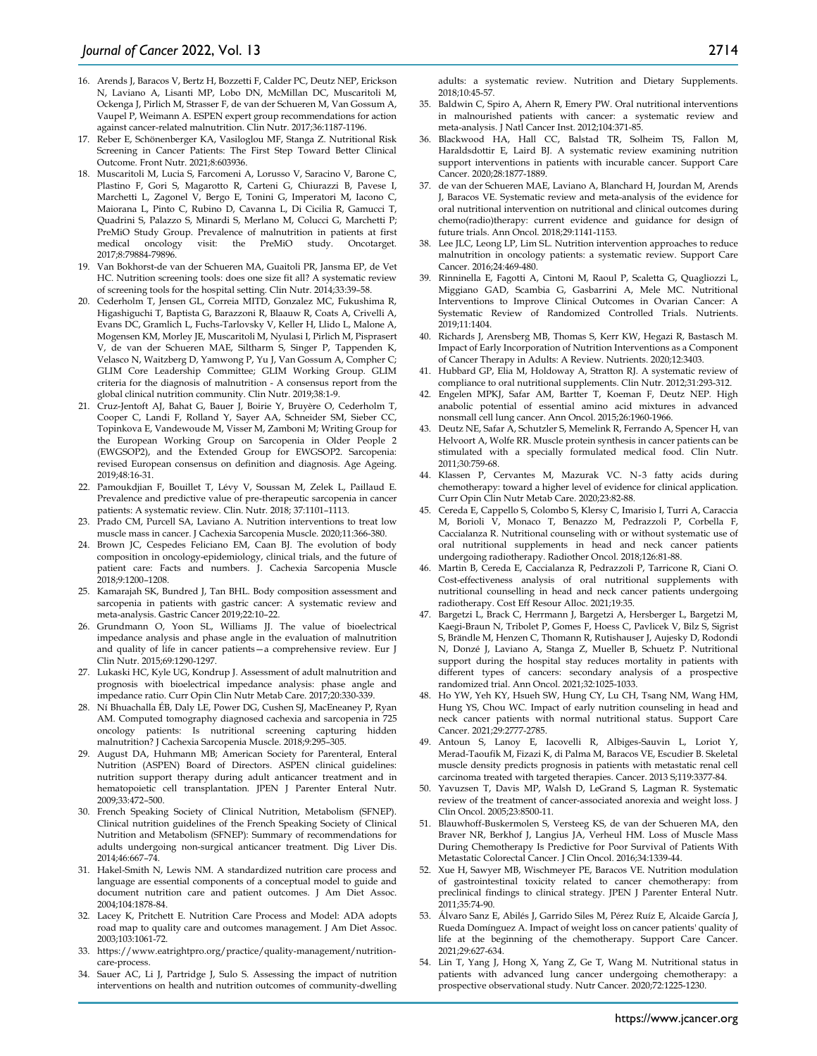- 16. Arends J, Baracos V, Bertz H, Bozzetti F, Calder PC, Deutz NEP, Erickson N, Laviano A, Lisanti MP, Lobo DN, McMillan DC, Muscaritoli M, Ockenga J, Pirlich M, Strasser F, de van der Schueren M, Van Gossum A, Vaupel P, Weimann A. ESPEN expert group recommendations for action against cancer-related malnutrition. Clin Nutr. 2017;36:1187-1196.
- 17. Reber E, Schönenberger KA, Vasiloglou MF, Stanga Z. Nutritional Risk Screening in Cancer Patients: The First Step Toward Better Clinical Outcome. Front Nutr. 2021;8:603936.
- 18. Muscaritoli M, Lucia S, Farcomeni A, Lorusso V, Saracino V, Barone C, Plastino F, Gori S, Magarotto R, Carteni G, Chiurazzi B, Pavese I, Marchetti L, Zagonel V, Bergo E, Tonini G, Imperatori M, Iacono C, Maiorana L, Pinto C, Rubino D, Cavanna L, Di Cicilia R, Gamucci T, Quadrini S, Palazzo S, Minardi S, Merlano M, Colucci G, Marchetti P; PreMiO Study Group. Prevalence of malnutrition in patients at first medical oncology visit: the PreMiO study. Oncotarget. visit: the PreMiO study. Oncotarget. 2017;8:79884-79896.
- 19. Van Bokhorst-de van der Schueren MA, Guaitoli PR, Jansma EP, de Vet HC. Nutrition screening tools: does one size fit all? A systematic review of screening tools for the hospital setting. Clin Nutr. 2014;33:39–58.
- 20. Cederholm T, Jensen GL, Correia MITD, Gonzalez MC, Fukushima R, Higashiguchi T, Baptista G, Barazzoni R, Blaauw R, Coats A, Crivelli A, Evans DC, Gramlich L, Fuchs-Tarlovsky V, Keller H, Llido L, Malone A, Mogensen KM, Morley JE, Muscaritoli M, Nyulasi I, Pirlich M, Pisprasert V, de van der Schueren MAE, Siltharm S, Singer P, Tappenden K, Velasco N, Waitzberg D, Yamwong P, Yu J, Van Gossum A, Compher C; GLIM Core Leadership Committee; GLIM Working Group. GLIM criteria for the diagnosis of malnutrition - A consensus report from the global clinical nutrition community. Clin Nutr. 2019;38:1-9.
- 21. Cruz-Jentoft AJ, Bahat G, Bauer J, Boirie Y, Bruyère O, Cederholm T, Cooper C, Landi F, Rolland Y, Sayer AA, Schneider SM, Sieber CC, Topinkova E, Vandewoude M, Visser M, Zamboni M; Writing Group for the European Working Group on Sarcopenia in Older People 2 (EWGSOP2), and the Extended Group for EWGSOP2. Sarcopenia: revised European consensus on definition and diagnosis. Age Ageing. 2019;48:16-31.
- 22. Pamoukdjian F, Bouillet T, Lévy V, Soussan M, Zelek L, Paillaud E. Prevalence and predictive value of pre-therapeutic sarcopenia in cancer patients: A systematic review. Clin. Nutr. 2018; 37:1101–1113.
- 23. Prado CM, Purcell SA, Laviano A. Nutrition interventions to treat low muscle mass in cancer. J Cachexia Sarcopenia Muscle. 2020;11:366-380.
- 24. Brown JC, Cespedes Feliciano EM, Caan BJ. The evolution of body composition in oncology-epidemiology, clinical trials, and the future of patient care: Facts and numbers. J. Cachexia Sarcopenia Muscle 2018;9:1200–1208.
- 25. Kamarajah SK, Bundred J, Tan BHL. Body composition assessment and sarcopenia in patients with gastric cancer: A systematic review and meta-analysis. Gastric Cancer 2019;22:10–22.
- 26. Grundmann O, Yoon SL, Williams JJ. The value of bioelectrical impedance analysis and phase angle in the evaluation of malnutrition and quality of life in cancer patients—a comprehensive review. Eur J Clin Nutr. 2015;69:1290-1297.
- 27. Lukaski HC, Kyle UG, Kondrup J. Assessment of adult malnutrition and prognosis with bioelectrical impedance analysis: phase angle and impedance ratio. Curr Opin Clin Nutr Metab Care. 2017;20:330-339.
- 28. Ní Bhuachalla ÉB, Daly LE, Power DG, Cushen SJ, MacEneaney P, Ryan AM. Computed tomography diagnosed cachexia and sarcopenia in 725 oncology patients: Is nutritional screening capturing hidden malnutrition? J Cachexia Sarcopenia Muscle. 2018;9:295–305.
- 29. August DA, Huhmann MB; American Society for Parenteral, Enteral Nutrition (ASPEN) Board of Directors. ASPEN clinical guidelines: nutrition support therapy during adult anticancer treatment and in hematopoietic cell transplantation. JPEN J Parenter Enteral Nutr. 2009;33:472–500.
- 30. French Speaking Society of Clinical Nutrition, Metabolism (SFNEP). Clinical nutrition guidelines of the French Speaking Society of Clinical Nutrition and Metabolism (SFNEP): Summary of recommendations for adults undergoing non-surgical anticancer treatment. Dig Liver Dis. 2014;46:667–74.
- 31. Hakel-Smith N, Lewis NM. A standardized nutrition care process and language are essential components of a conceptual model to guide and document nutrition care and patient outcomes. J Am Diet Assoc. 2004;104:1878-84.
- 32. Lacey K, Pritchett E. Nutrition Care Process and Model: ADA adopts road map to quality care and outcomes management. J Am Diet Assoc. 2003;103:1061-72.
- 33. https://www.eatrightpro.org/practice/quality-management/nutritioncare-process.
- 34. Sauer AC, Li J, Partridge J, Sulo S. Assessing the impact of nutrition interventions on health and nutrition outcomes of community-dwelling

adults: a systematic review. Nutrition and Dietary Supplements. 2018;10:45-57.

- 35. Baldwin C, Spiro A, Ahern R, Emery PW. Oral nutritional interventions in malnourished patients with cancer: a systematic review and meta-analysis. J Natl Cancer Inst. 2012;104:371-85.
- 36. Blackwood HA, Hall CC, Balstad TR, Solheim TS, Fallon M, Haraldsdottir E, Laird BJ. A systematic review examining nutrition support interventions in patients with incurable cancer. Support Care Cancer. 2020;28:1877-1889.
- 37. de van der Schueren MAE, Laviano A, Blanchard H, Jourdan M, Arends J, Baracos VE. Systematic review and meta-analysis of the evidence for oral nutritional intervention on nutritional and clinical outcomes during chemo(radio)therapy: current evidence and guidance for design of future trials. Ann Oncol. 2018;29:1141-1153.
- 38. Lee JLC, Leong LP, Lim SL. Nutrition intervention approaches to reduce malnutrition in oncology patients: a systematic review. Support Care Cancer. 2016;24:469-480.
- 39. Rinninella E, Fagotti A, Cintoni M, Raoul P, Scaletta G, Quagliozzi L, Miggiano GAD, Scambia G, Gasbarrini A, Mele MC. Nutritional Interventions to Improve Clinical Outcomes in Ovarian Cancer: A Systematic Review of Randomized Controlled Trials. Nutrients. 2019;11:1404.
- 40. Richards J, Arensberg MB, Thomas S, Kerr KW, Hegazi R, Bastasch M. Impact of Early Incorporation of Nutrition Interventions as a Component of Cancer Therapy in Adults: A Review. Nutrients. 2020;12:3403.
- 41. Hubbard GP, Elia M, Holdoway A, Stratton RJ. A systematic review of compliance to oral nutritional supplements. Clin Nutr. 2012;31:293-312.
- 42. Engelen MPKJ, Safar AM, Bartter T, Koeman F, Deutz NEP. High anabolic potential of essential amino acid mixtures in advanced nonsmall cell lung cancer. Ann Oncol. 2015;26:1960-1966.
- 43. Deutz NE, Safar A, Schutzler S, Memelink R, Ferrando A, Spencer H, van Helvoort A, Wolfe RR. Muscle protein synthesis in cancer patients can be stimulated with a specially formulated medical food. Clin Nutr. 2011;30:759-68.
- 44. Klassen P, Cervantes M, Mazurak VC. N-3 fatty acids during chemotherapy: toward a higher level of evidence for clinical application. Curr Opin Clin Nutr Metab Care. 2020;23:82-88.
- 45. Cereda E, Cappello S, Colombo S, Klersy C, Imarisio I, Turri A, Caraccia M, Borioli V, Monaco T, Benazzo M, Pedrazzoli P, Corbella F, Caccialanza R. Nutritional counseling with or without systematic use of oral nutritional supplements in head and neck cancer patients undergoing radiotherapy. Radiother Oncol. 2018;126:81-88.
- 46. Martin B, Cereda E, Caccialanza R, Pedrazzoli P, Tarricone R, Ciani O. Cost-effectiveness analysis of oral nutritional supplements with nutritional counselling in head and neck cancer patients undergoing radiotherapy. Cost Eff Resour Alloc. 2021;19:35.
- 47. Bargetzi L, Brack C, Herrmann J, Bargetzi A, Hersberger L, Bargetzi M, Kaegi-Braun N, Tribolet P, Gomes F, Hoess C, Pavlicek V, Bilz S, Sigrist S, Brändle M, Henzen C, Thomann R, Rutishauser J, Aujesky D, Rodondi N, Donzé J, Laviano A, Stanga Z, Mueller B, Schuetz P. Nutritional support during the hospital stay reduces mortality in patients with different types of cancers: secondary analysis of a prospective randomized trial. Ann Oncol. 2021;32:1025-1033.
- 48. Ho YW, Yeh KY, Hsueh SW, Hung CY, Lu CH, Tsang NM, Wang HM, Hung YS, Chou WC. Impact of early nutrition counseling in head and neck cancer patients with normal nutritional status. Support Care Cancer. 2021;29:2777-2785.
- 49. Antoun S, Lanoy E, Iacovelli R, Albiges-Sauvin L, Loriot Y, Merad-Taoufik M, Fizazi K, di Palma M, Baracos VE, Escudier B. Skeletal muscle density predicts prognosis in patients with metastatic renal cell carcinoma treated with targeted therapies. Cancer. 2013 S;119:3377-84.
- 50. Yavuzsen T, Davis MP, Walsh D, LeGrand S, Lagman R. Systematic review of the treatment of cancer-associated anorexia and weight loss. J Clin Oncol. 2005;23:8500-11.
- 51. Blauwhoff-Buskermolen S, Versteeg KS, de van der Schueren MA, den Braver NR, Berkhof J, Langius JA, Verheul HM. Loss of Muscle Mass During Chemotherapy Is Predictive for Poor Survival of Patients With Metastatic Colorectal Cancer. J Clin Oncol. 2016;34:1339-44.
- 52. Xue H, Sawyer MB, Wischmeyer PE, Baracos VE. Nutrition modulation of gastrointestinal toxicity related to cancer chemotherapy: from preclinical findings to clinical strategy. JPEN J Parenter Enteral Nutr. 2011;35:74-90.
- 53. Álvaro Sanz E, Abilés J, Garrido Siles M, Pérez Ruíz E, Alcaide García J, Rueda Domínguez A. Impact of weight loss on cancer patients' quality of life at the beginning of the chemotherapy. Support Care Cancer. 2021;29:627-634.
- 54. Lin T, Yang J, Hong X, Yang Z, Ge T, Wang M. Nutritional status in patients with advanced lung cancer undergoing chemotherapy: a prospective observational study. Nutr Cancer. 2020;72:1225-1230.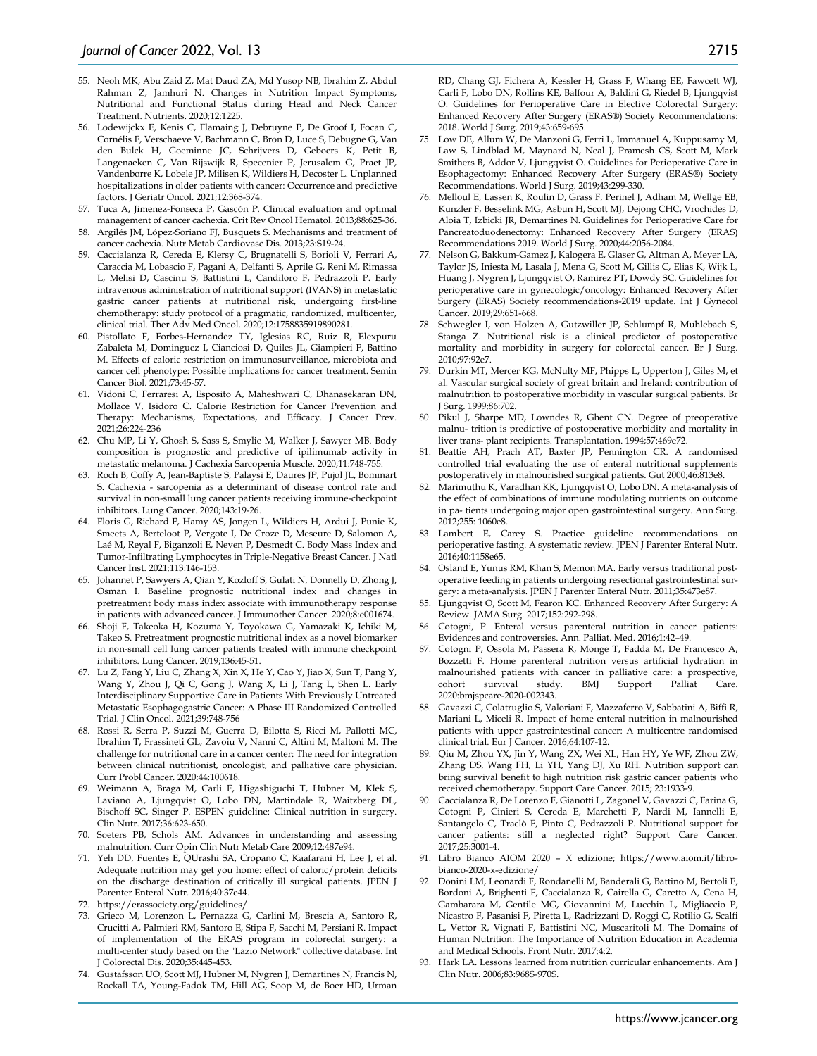- 55. Neoh MK, Abu Zaid Z, Mat Daud ZA, Md Yusop NB, Ibrahim Z, Abdul Rahman Z, Jamhuri N. Changes in Nutrition Impact Symptoms, Nutritional and Functional Status during Head and Neck Cancer Treatment. Nutrients. 2020;12:1225.
- 56. Lodewijckx E, Kenis C, Flamaing J, Debruyne P, De Groof I, Focan C, Cornélis F, Verschaeve V, Bachmann C, Bron D, Luce S, Debugne G, Van den Bulck H, Goeminne JC, Schrijvers D, Geboers K, Petit B, Langenaeken C, Van Rijswijk R, Specenier P, Jerusalem G, Praet JP, Vandenborre K, Lobele JP, Milisen K, Wildiers H, Decoster L. Unplanned hospitalizations in older patients with cancer: Occurrence and predictive factors. J Geriatr Oncol. 2021;12:368-374.
- 57. Tuca A, Jimenez-Fonseca P, Gascón P. Clinical evaluation and optimal management of cancer cachexia. Crit Rev Oncol Hematol. 2013;88:625-36.
- 58. Argilés JM, López-Soriano FJ, Busquets S. Mechanisms and treatment of cancer cachexia. Nutr Metab Cardiovasc Dis. 2013;23:S19-24.
- 59. Caccialanza R, Cereda E, Klersy C, Brugnatelli S, Borioli V, Ferrari A, Caraccia M, Lobascio F, Pagani A, Delfanti S, Aprile G, Reni M, Rimassa L, Melisi D, Cascinu S, Battistini L, Candiloro F, Pedrazzoli P. Early intravenous administration of nutritional support (IVANS) in metastatic gastric cancer patients at nutritional risk, undergoing first-line chemotherapy: study protocol of a pragmatic, randomized, multicenter, clinical trial. Ther Adv Med Oncol. 2020;12:1758835919890281.
- 60. Pistollato F, Forbes-Hernandez TY, Iglesias RC, Ruiz R, Elexpuru Zabaleta M, Dominguez I, Cianciosi D, Quiles JL, Giampieri F, Battino M. Effects of caloric restriction on immunosurveillance, microbiota and cancer cell phenotype: Possible implications for cancer treatment. Semin Cancer Biol. 2021;73:45-57.
- 61. Vidoni C, Ferraresi A, Esposito A, Maheshwari C, Dhanasekaran DN, Mollace V, Isidoro C. Calorie Restriction for Cancer Prevention and Therapy: Mechanisms, Expectations, and Efficacy. J Cancer Prev. 2021;26:224-236
- 62. Chu MP, Li Y, Ghosh S, Sass S, Smylie M, Walker J, Sawyer MB. Body composition is prognostic and predictive of ipilimumab activity in metastatic melanoma. J Cachexia Sarcopenia Muscle. 2020;11:748-755.
- 63. Roch B, Coffy A, Jean-Baptiste S, Palaysi E, Daures JP, Pujol JL, Bommart S. Cachexia - sarcopenia as a determinant of disease control rate and survival in non-small lung cancer patients receiving immune-checkpoint inhibitors. Lung Cancer. 2020;143:19-26.
- 64. Floris G, Richard F, Hamy AS, Jongen L, Wildiers H, Ardui J, Punie K, Smeets A, Berteloot P, Vergote I, De Croze D, Meseure D, Salomon A, Laé M, Reyal F, Biganzoli E, Neven P, Desmedt C. Body Mass Index and Tumor-Infiltrating Lymphocytes in Triple-Negative Breast Cancer. J Natl Cancer Inst. 2021;113:146-153.
- 65. Johannet P, Sawyers A, Qian Y, Kozloff S, Gulati N, Donnelly D, Zhong J, Osman I. Baseline prognostic nutritional index and changes in pretreatment body mass index associate with immunotherapy response in patients with advanced cancer. J Immunother Cancer. 2020;8:e001674.
- 66. Shoji F, Takeoka H, Kozuma Y, Toyokawa G, Yamazaki K, Ichiki M, Takeo S. Pretreatment prognostic nutritional index as a novel biomarker in non-small cell lung cancer patients treated with immune checkpoint inhibitors. Lung Cancer. 2019;136:45-51.
- 67. Lu Z, Fang Y, Liu C, Zhang X, Xin X, He Y, Cao Y, Jiao X, Sun T, Pang Y, Wang Y, Zhou J, Qi C, Gong J, Wang X, Li J, Tang L, Shen L. Early Interdisciplinary Supportive Care in Patients With Previously Untreated Metastatic Esophagogastric Cancer: A Phase III Randomized Controlled Trial. J Clin Oncol. 2021;39:748-756
- 68. Rossi R, Serra P, Suzzi M, Guerra D, Bilotta S, Ricci M, Pallotti MC, Ibrahim T, Frassineti GL, Zavoiu V, Nanni C, Altini M, Maltoni M. The challenge for nutritional care in a cancer center: The need for integration between clinical nutritionist, oncologist, and palliative care physician. Curr Probl Cancer. 2020;44:100618.
- 69. Weimann A, Braga M, Carli F, Higashiguchi T, Hübner M, Klek S, Laviano A, Ljungqvist O, Lobo DN, Martindale R, Waitzberg DL, Bischoff SC, Singer P. ESPEN guideline: Clinical nutrition in surgery. Clin Nutr. 2017;36:623-650.
- 70. Soeters PB, Schols AM. Advances in understanding and assessing malnutrition. Curr Opin Clin Nutr Metab Care 2009;12:487e94.
- 71. Yeh DD, Fuentes E, QUrashi SA, Cropano C, Kaafarani H, Lee J, et al. Adequate nutrition may get you home: effect of caloric/protein deficits on the discharge destination of critically ill surgical patients. JPEN J Parenter Enteral Nutr. 2016;40:37e44.
- 72. https://erassociety.org/guidelines/
- 73. Grieco M, Lorenzon L, Pernazza G, Carlini M, Brescia A, Santoro R, Crucitti A, Palmieri RM, Santoro E, Stipa F, Sacchi M, Persiani R. Impact of implementation of the ERAS program in colorectal surgery: a multi-center study based on the "Lazio Network" collective database. Int J Colorectal Dis. 2020;35:445-453.
- 74. Gustafsson UO, Scott MJ, Hubner M, Nygren J, Demartines N, Francis N, Rockall TA, Young-Fadok TM, Hill AG, Soop M, de Boer HD, Urman

RD, Chang GJ, Fichera A, Kessler H, Grass F, Whang EE, Fawcett WJ, Carli F, Lobo DN, Rollins KE, Balfour A, Baldini G, Riedel B, Ljungqvist O. Guidelines for Perioperative Care in Elective Colorectal Surgery: Enhanced Recovery After Surgery (ERAS®) Society Recommendations: 2018. World J Surg. 2019;43:659-695.

- 75. Low DE, Allum W, De Manzoni G, Ferri L, Immanuel A, Kuppusamy M, Law S, Lindblad M, Maynard N, Neal J, Pramesh CS, Scott M, Mark Smithers B, Addor V, Ljungqvist O. Guidelines for Perioperative Care in Esophagectomy: Enhanced Recovery After Surgery (ERAS®) Society Recommendations. World J Surg. 2019;43:299-330.
- 76. Melloul E, Lassen K, Roulin D, Grass F, Perinel J, Adham M, Wellge EB, Kunzler F, Besselink MG, Asbun H, Scott MJ, Dejong CHC, Vrochides D, Aloia T, Izbicki JR, Demartines N. Guidelines for Perioperative Care for Pancreatoduodenectomy: Enhanced Recovery After Surgery (ERAS) Recommendations 2019. World J Surg. 2020;44:2056-2084.
- 77. Nelson G, Bakkum-Gamez J, Kalogera E, Glaser G, Altman A, Meyer LA, Taylor JS, Iniesta M, Lasala J, Mena G, Scott M, Gillis C, Elias K, Wijk L, Huang J, Nygren J, Ljungqvist O, Ramirez PT, Dowdy SC. Guidelines for perioperative care in gynecologic/oncology: Enhanced Recovery After Surgery (ERAS) Society recommendations-2019 update. Int J Gynecol Cancer. 2019;29:651-668.
- 78. Schwegler I, von Holzen A, Gutzwiller JP, Schlumpf R, Mühlebach S, Stanga Z. Nutritional risk is a clinical predictor of postoperative mortality and morbidity in surgery for colorectal cancer. Br J Surg. 2010;97:92e7.
- 79. Durkin MT, Mercer KG, McNulty MF, Phipps L, Upperton J, Giles M, et al. Vascular surgical society of great britain and Ireland: contribution of malnutrition to postoperative morbidity in vascular surgical patients. Br J Surg. 1999;86:702.
- 80. Pikul J, Sharpe MD, Lowndes R, Ghent CN. Degree of preoperative malnu- trition is predictive of postoperative morbidity and mortality in liver trans- plant recipients. Transplantation. 1994;57:469e72.
- 81. Beattie AH, Prach AT, Baxter JP, Pennington CR. A randomised controlled trial evaluating the use of enteral nutritional supplements postoperatively in malnourished surgical patients. Gut 2000;46:813e8.
- 82. Marimuthu K, Varadhan KK, Ljungqvist O, Lobo DN. A meta-analysis of the effect of combinations of immune modulating nutrients on outcome in pa- tients undergoing major open gastrointestinal surgery. Ann Surg. 2012;255: 1060e8.
- 83. Lambert E, Carey S. Practice guideline recommendations on perioperative fasting. A systematic review. JPEN J Parenter Enteral Nutr. 2016;40:1158e65.
- 84. Osland E, Yunus RM, Khan S, Memon MA. Early versus traditional postoperative feeding in patients undergoing resectional gastrointestinal surgery: a meta-analysis. JPEN J Parenter Enteral Nutr. 2011;35:473e87.
- 85. Ljungqvist O, Scott M, Fearon KC. Enhanced Recovery After Surgery: A Review. JAMA Surg. 2017;152:292-298.
- 86. Cotogni, P. Enteral versus parenteral nutrition in cancer patients: Evidences and controversies. Ann. Palliat. Med. 2016;1:42–49.
- 87. Cotogni P, Ossola M, Passera R, Monge T, Fadda M, De Francesco A, Bozzetti F. Home parenteral nutrition versus artificial hydration in malnourished patients with cancer in palliative care: a prospective, cohort survival study. BMJ Support Palliat Care. 2020:bmjspcare-2020-002343.
- 88. Gavazzi C, Colatruglio S, Valoriani F, Mazzaferro V, Sabbatini A, Biffi R, Mariani L, Miceli R. Impact of home enteral nutrition in malnourished patients with upper gastrointestinal cancer: A multicentre randomised clinical trial. Eur J Cancer. 2016;64:107-12.
- Qiu M, Zhou YX, Jin Y, Wang ZX, Wei XL, Han HY, Ye WF, Zhou ZW, Zhang DS, Wang FH, Li YH, Yang DJ, Xu RH. Nutrition support can bring survival benefit to high nutrition risk gastric cancer patients who received chemotherapy. Support Care Cancer. 2015; 23:1933-9.
- 90. Caccialanza R, De Lorenzo F, Gianotti L, Zagonel V, Gavazzi C, Farina G, Cotogni P, Cinieri S, Cereda E, Marchetti P, Nardi M, Iannelli E, Santangelo C, Traclò F, Pinto C, Pedrazzoli P. Nutritional support for cancer patients: still a neglected right? Support Care Cancer. 2017;25:3001-4.
- 91. Libro Bianco AIOM 2020 X edizione; https://www.aiom.it/librobianco-2020-x-edizione/
- 92. Donini LM, Leonardi F, Rondanelli M, Banderali G, Battino M, Bertoli E, Bordoni A, Brighenti F, Caccialanza R, Cairella G, Caretto A, Cena H, Gambarara M, Gentile MG, Giovannini M, Lucchin L, Migliaccio P, Nicastro F, Pasanisi F, Piretta L, Radrizzani D, Roggi C, Rotilio G, Scalfi L, Vettor R, Vignati F, Battistini NC, Muscaritoli M. The Domains of Human Nutrition: The Importance of Nutrition Education in Academia and Medical Schools. Front Nutr. 2017;4:2.
- 93. Hark LA. Lessons learned from nutrition curricular enhancements. Am J Clin Nutr. 2006;83:968S-970S.